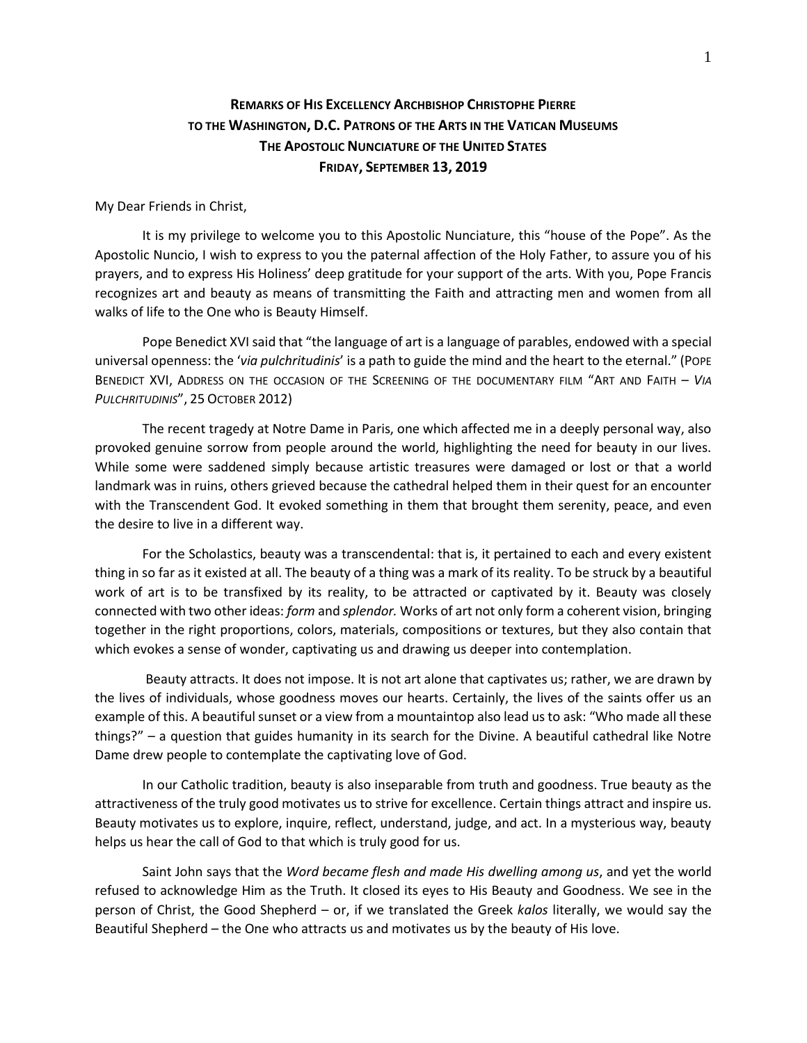## **REMARKS OF HIS EXCELLENCY ARCHBISHOP CHRISTOPHE PIERRE TO THE WASHINGTON, D.C. PATRONS OF THE ARTS IN THE VATICAN MUSEUMS THE APOSTOLIC NUNCIATURE OF THE UNITED STATES FRIDAY, SEPTEMBER 13, 2019**

My Dear Friends in Christ,

It is my privilege to welcome you to this Apostolic Nunciature, this "house of the Pope". As the Apostolic Nuncio, I wish to express to you the paternal affection of the Holy Father, to assure you of his prayers, and to express His Holiness' deep gratitude for your support of the arts. With you, Pope Francis recognizes art and beauty as means of transmitting the Faith and attracting men and women from all walks of life to the One who is Beauty Himself.

Pope Benedict XVI said that "the language of art is a language of parables, endowed with a special universal openness: the '*via pulchritudinis*' is a path to guide the mind and the heart to the eternal." (POPE BENEDICT XVI, ADDRESS ON THE OCCASION OF THE SCREENING OF THE DOCUMENTARY FILM "ART AND FAITH – *VIA PULCHRITUDINIS*", 25 OCTOBER 2012)

The recent tragedy at Notre Dame in Paris, one which affected me in a deeply personal way, also provoked genuine sorrow from people around the world, highlighting the need for beauty in our lives. While some were saddened simply because artistic treasures were damaged or lost or that a world landmark was in ruins, others grieved because the cathedral helped them in their quest for an encounter with the Transcendent God. It evoked something in them that brought them serenity, peace, and even the desire to live in a different way.

For the Scholastics, beauty was a transcendental: that is, it pertained to each and every existent thing in so far as it existed at all. The beauty of a thing was a mark of its reality. To be struck by a beautiful work of art is to be transfixed by its reality, to be attracted or captivated by it. Beauty was closely connected with two other ideas: *form* and *splendor.* Works of art not only form a coherent vision, bringing together in the right proportions, colors, materials, compositions or textures, but they also contain that which evokes a sense of wonder, captivating us and drawing us deeper into contemplation.

Beauty attracts. It does not impose. It is not art alone that captivates us; rather, we are drawn by the lives of individuals, whose goodness moves our hearts. Certainly, the lives of the saints offer us an example of this. A beautiful sunset or a view from a mountaintop also lead us to ask: "Who made all these things?" – a question that guides humanity in its search for the Divine. A beautiful cathedral like Notre Dame drew people to contemplate the captivating love of God.

In our Catholic tradition, beauty is also inseparable from truth and goodness. True beauty as the attractiveness of the truly good motivates us to strive for excellence. Certain things attract and inspire us. Beauty motivates us to explore, inquire, reflect, understand, judge, and act. In a mysterious way, beauty helps us hear the call of God to that which is truly good for us.

Saint John says that the *Word became flesh and made His dwelling among us*, and yet the world refused to acknowledge Him as the Truth. It closed its eyes to His Beauty and Goodness. We see in the person of Christ, the Good Shepherd – or, if we translated the Greek *kalos* literally, we would say the Beautiful Shepherd – the One who attracts us and motivates us by the beauty of His love.